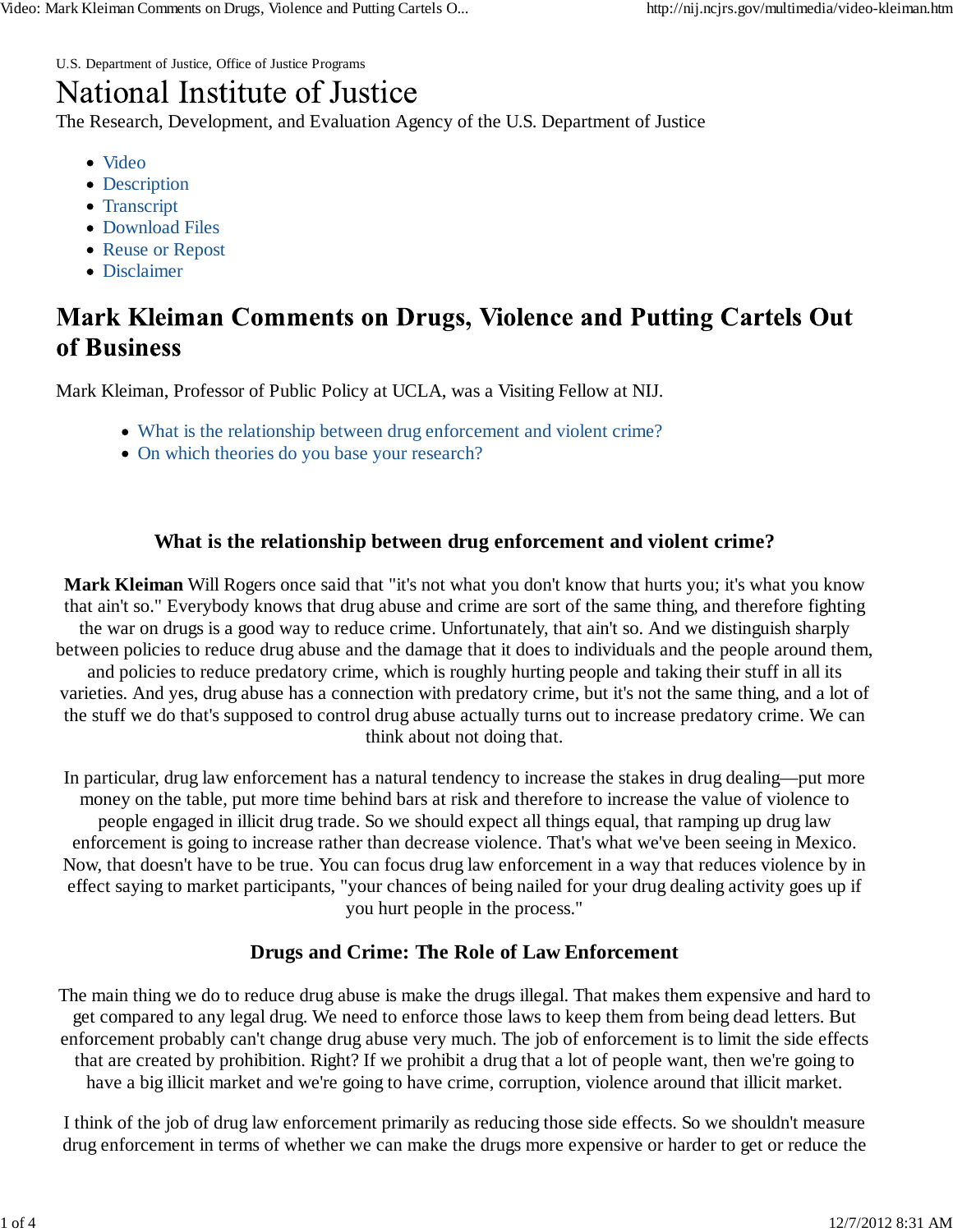U.S. Department of Justice, Office of Justice Programs

# National Institute of Justice

The Research, Development, and Evaluation Agency of the U.S. Department of Justice

- Video
- Description
- Transcript
- Download Files
- Reuse or Repost
- Disclaimer

## Mark Kleiman Comments on Drugs, Violence and Putting Cartels Out of Business

Mark Kleiman, Professor of Public Policy at UCLA, was a Visiting Fellow at NIJ.

- What is the relationship between drug enforcement and violent crime?
- On which theories do you base your research?

#### **What is the relationship between drug enforcement and violent crime?**

**Mark Kleiman** Will Rogers once said that "it's not what you don't know that hurts you; it's what you know that ain't so." Everybody knows that drug abuse and crime are sort of the same thing, and therefore fighting the war on drugs is a good way to reduce crime. Unfortunately, that ain't so. And we distinguish sharply between policies to reduce drug abuse and the damage that it does to individuals and the people around them, and policies to reduce predatory crime, which is roughly hurting people and taking their stuff in all its varieties. And yes, drug abuse has a connection with predatory crime, but it's not the same thing, and a lot of the stuff we do that's supposed to control drug abuse actually turns out to increase predatory crime. We can think about not doing that.

In particular, drug law enforcement has a natural tendency to increase the stakes in drug dealing—put more money on the table, put more time behind bars at risk and therefore to increase the value of violence to people engaged in illicit drug trade. So we should expect all things equal, that ramping up drug law enforcement is going to increase rather than decrease violence. That's what we've been seeing in Mexico. Now, that doesn't have to be true. You can focus drug law enforcement in a way that reduces violence by in effect saying to market participants, "your chances of being nailed for your drug dealing activity goes up if you hurt people in the process."

### **Drugs and Crime: The Role of Law Enforcement**

The main thing we do to reduce drug abuse is make the drugs illegal. That makes them expensive and hard to get compared to any legal drug. We need to enforce those laws to keep them from being dead letters. But enforcement probably can't change drug abuse very much. The job of enforcement is to limit the side effects that are created by prohibition. Right? If we prohibit a drug that a lot of people want, then we're going to have a big illicit market and we're going to have crime, corruption, violence around that illicit market.

I think of the job of drug law enforcement primarily as reducing those side effects. So we shouldn't measure drug enforcement in terms of whether we can make the drugs more expensive or harder to get or reduce the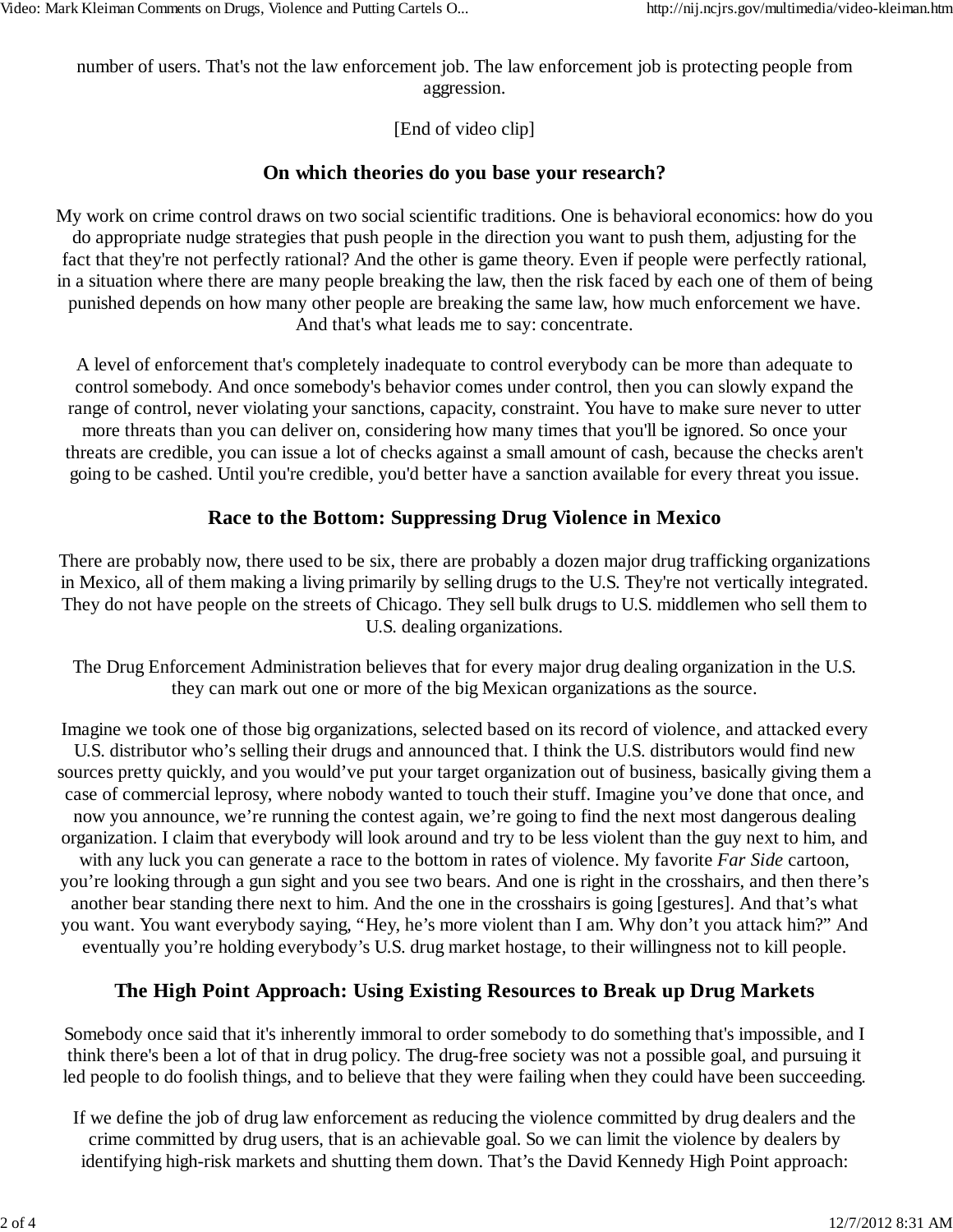number of users. That's not the law enforcement job. The law enforcement job is protecting people from aggression.

[End of video clip]

#### **On which theories do you base your research?**

My work on crime control draws on two social scientific traditions. One is behavioral economics: how do you do appropriate nudge strategies that push people in the direction you want to push them, adjusting for the fact that they're not perfectly rational? And the other is game theory. Even if people were perfectly rational, in a situation where there are many people breaking the law, then the risk faced by each one of them of being punished depends on how many other people are breaking the same law, how much enforcement we have. And that's what leads me to say: concentrate.

A level of enforcement that's completely inadequate to control everybody can be more than adequate to control somebody. And once somebody's behavior comes under control, then you can slowly expand the range of control, never violating your sanctions, capacity, constraint. You have to make sure never to utter more threats than you can deliver on, considering how many times that you'll be ignored. So once your threats are credible, you can issue a lot of checks against a small amount of cash, because the checks aren't going to be cashed. Until you're credible, you'd better have a sanction available for every threat you issue.

### **Race to the Bottom: Suppressing Drug Violence in Mexico**

There are probably now, there used to be six, there are probably a dozen major drug trafficking organizations in Mexico, all of them making a living primarily by selling drugs to the U.S. They're not vertically integrated. They do not have people on the streets of Chicago. They sell bulk drugs to U.S. middlemen who sell them to U.S. dealing organizations.

The Drug Enforcement Administration believes that for every major drug dealing organization in the U.S. they can mark out one or more of the big Mexican organizations as the source.

Imagine we took one of those big organizations, selected based on its record of violence, and attacked every U.S. distributor who's selling their drugs and announced that. I think the U.S. distributors would find new sources pretty quickly, and you would've put your target organization out of business, basically giving them a case of commercial leprosy, where nobody wanted to touch their stuff. Imagine you've done that once, and now you announce, we're running the contest again, we're going to find the next most dangerous dealing organization. I claim that everybody will look around and try to be less violent than the guy next to him, and with any luck you can generate a race to the bottom in rates of violence. My favorite *Far Side* cartoon, you're looking through a gun sight and you see two bears. And one is right in the crosshairs, and then there's another bear standing there next to him. And the one in the crosshairs is going [gestures]. And that's what you want. You want everybody saying, "Hey, he's more violent than I am. Why don't you attack him?" And eventually you're holding everybody's U.S. drug market hostage, to their willingness not to kill people.

### **The High Point Approach: Using Existing Resources to Break up Drug Markets**

Somebody once said that it's inherently immoral to order somebody to do something that's impossible, and I think there's been a lot of that in drug policy. The drug-free society was not a possible goal, and pursuing it led people to do foolish things, and to believe that they were failing when they could have been succeeding.

If we define the job of drug law enforcement as reducing the violence committed by drug dealers and the crime committed by drug users, that is an achievable goal. So we can limit the violence by dealers by identifying high-risk markets and shutting them down. That's the David Kennedy High Point approach: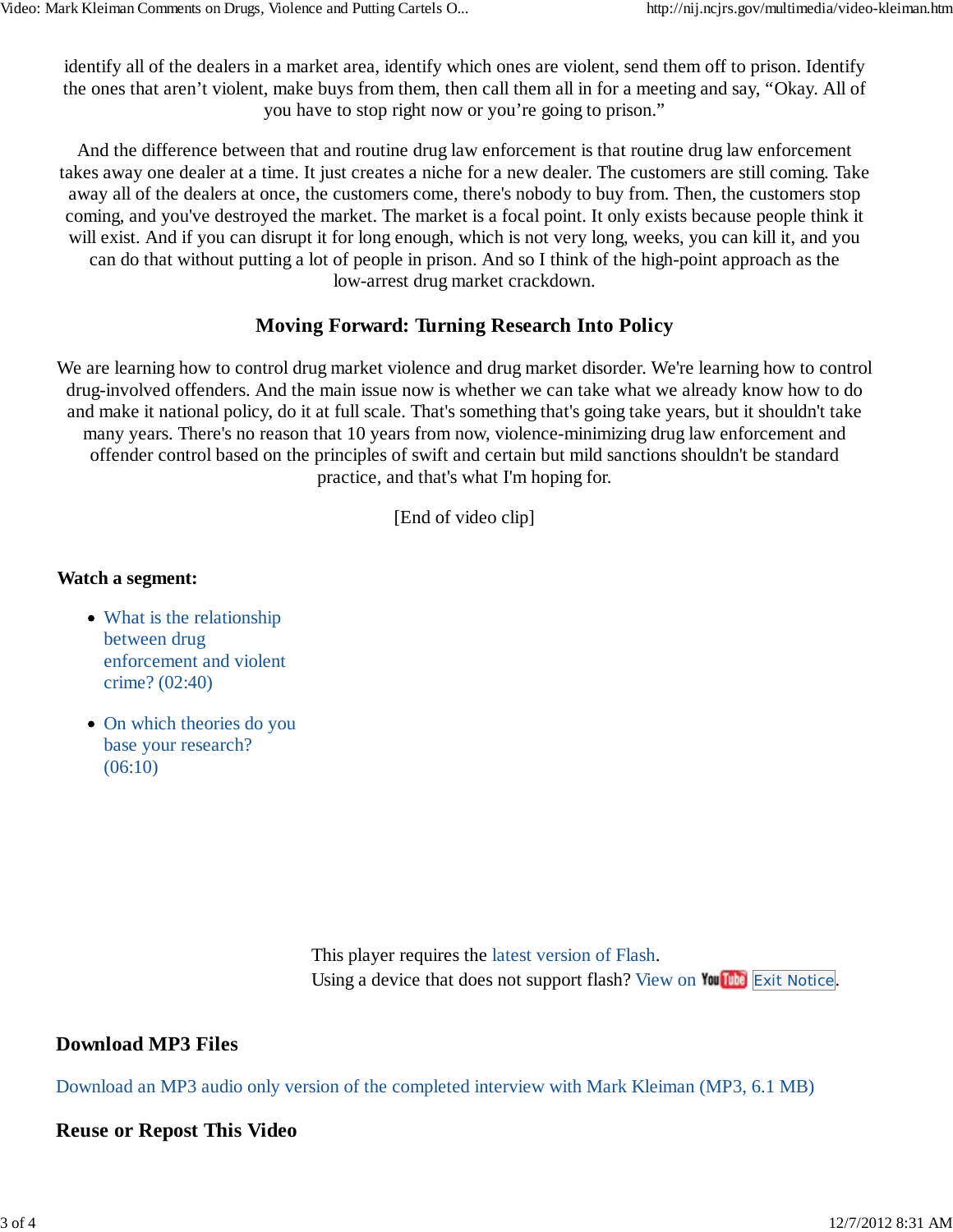identify all of the dealers in a market area, identify which ones are violent, send them off to prison. Identify the ones that aren't violent, make buys from them, then call them all in for a meeting and say, "Okay. All of you have to stop right now or you're going to prison."

And the difference between that and routine drug law enforcement is that routine drug law enforcement takes away one dealer at a time. It just creates a niche for a new dealer. The customers are still coming. Take away all of the dealers at once, the customers come, there's nobody to buy from. Then, the customers stop coming, and you've destroyed the market. The market is a focal point. It only exists because people think it will exist. And if you can disrupt it for long enough, which is not very long, weeks, you can kill it, and you can do that without putting a lot of people in prison. And so I think of the high-point approach as the low-arrest drug market crackdown.

#### **Moving Forward: Turning Research Into Policy**

We are learning how to control drug market violence and drug market disorder. We're learning how to control drug-involved offenders. And the main issue now is whether we can take what we already know how to do and make it national policy, do it at full scale. That's something that's going take years, but it shouldn't take many years. There's no reason that 10 years from now, violence-minimizing drug law enforcement and offender control based on the principles of swift and certain but mild sanctions shouldn't be standard practice, and that's what I'm hoping for.

[End of video clip]

#### **Watch a segment:**

- What is the relationship between drug enforcement and violent crime? (02:40)
- On which theories do you base your research? (06:10)

This player requires the latest version of Flash. Using a device that does not support flash? View on You Tube Exit Notice.

#### **Download MP3 Files**

Download an MP3 audio only version of the completed interview with Mark Kleiman (MP3, 6.1 MB)

#### **Reuse or Repost This Video**